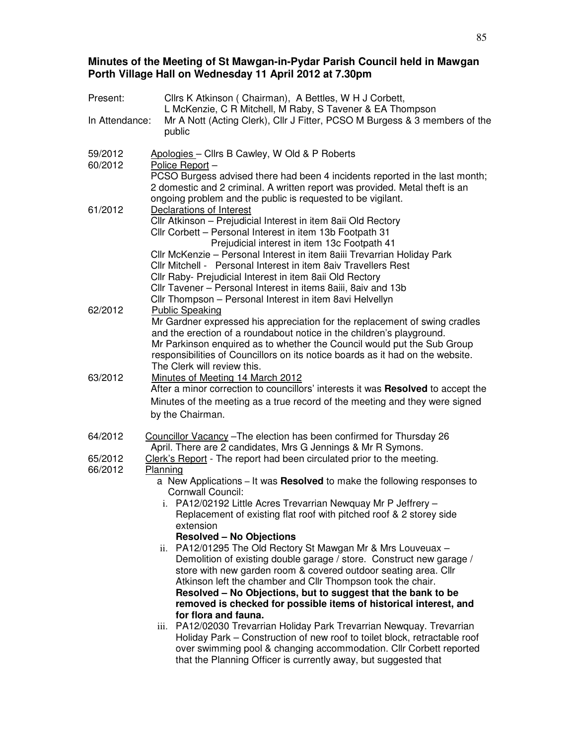### **Minutes of the Meeting of St Mawgan-in-Pydar Parish Council held in Mawgan Porth Village Hall on Wednesday 11 April 2012 at 7.30pm**

| Present:           | Cllrs K Atkinson (Chairman), A Bettles, W H J Corbett,<br>L McKenzie, C R Mitchell, M Raby, S Tavener & EA Thompson                              |
|--------------------|--------------------------------------------------------------------------------------------------------------------------------------------------|
| In Attendance:     | Mr A Nott (Acting Clerk), Cllr J Fitter, PCSO M Burgess & 3 members of the<br>public                                                             |
| 59/2012            | Apologies - Cllrs B Cawley, W Old & P Roberts                                                                                                    |
| 60/2012            | Police Report -<br>PCSO Burgess advised there had been 4 incidents reported in the last month;                                                   |
|                    | 2 domestic and 2 criminal. A written report was provided. Metal theft is an                                                                      |
|                    | ongoing problem and the public is requested to be vigilant.                                                                                      |
| 61/2012            | Declarations of Interest                                                                                                                         |
|                    | Cllr Atkinson - Prejudicial Interest in item 8aii Old Rectory<br>Cllr Corbett - Personal Interest in item 13b Footpath 31                        |
|                    | Prejudicial interest in item 13c Footpath 41                                                                                                     |
|                    | Cllr McKenzie – Personal Interest in item 8aiii Trevarrian Holiday Park                                                                          |
|                    | Cllr Mitchell - Personal Interest in item 8aiv Travellers Rest                                                                                   |
|                    | Cllr Raby- Prejudicial Interest in item 8aii Old Rectory<br>Cllr Tavener - Personal Interest in items 8aiii, 8aiv and 13b                        |
|                    | Cllr Thompson - Personal Interest in item 8avi Helvellyn                                                                                         |
| 62/2012            | <b>Public Speaking</b>                                                                                                                           |
|                    | Mr Gardner expressed his appreciation for the replacement of swing cradles                                                                       |
|                    | and the erection of a roundabout notice in the children's playground.<br>Mr Parkinson enquired as to whether the Council would put the Sub Group |
|                    | responsibilities of Councillors on its notice boards as it had on the website.                                                                   |
|                    | The Clerk will review this.                                                                                                                      |
| 63/2012            | Minutes of Meeting 14 March 2012                                                                                                                 |
|                    | After a minor correction to councillors' interests it was Resolved to accept the                                                                 |
|                    | Minutes of the meeting as a true record of the meeting and they were signed<br>by the Chairman.                                                  |
|                    |                                                                                                                                                  |
| 64/2012            | Councillor Vacancy - The election has been confirmed for Thursday 26                                                                             |
|                    | April. There are 2 candidates, Mrs G Jennings & Mr R Symons.                                                                                     |
| 65/2012<br>66/2012 | Clerk's Report - The report had been circulated prior to the meeting.<br>Planning                                                                |
|                    | a New Applications - It was Resolved to make the following responses to                                                                          |
|                    | Cornwall Council:                                                                                                                                |
|                    | i. PA12/02192 Little Acres Trevarrian Newquay Mr P Jeffrery -<br>Replacement of existing flat roof with pitched roof & 2 storey side             |
|                    | extension                                                                                                                                        |
|                    | <b>Resolved - No Objections</b>                                                                                                                  |
|                    | ii. PA12/01295 The Old Rectory St Mawgan Mr & Mrs Louveuax -                                                                                     |
|                    | Demolition of existing double garage / store. Construct new garage /<br>store with new garden room & covered outdoor seating area. Cllr          |
|                    | Atkinson left the chamber and Cllr Thompson took the chair.                                                                                      |
|                    | Resolved - No Objections, but to suggest that the bank to be                                                                                     |
|                    | removed is checked for possible items of historical interest, and                                                                                |
|                    | for flora and fauna.<br>iii. PA12/02030 Trevarrian Holiday Park Trevarrian Newquay. Trevarrian                                                   |
|                    | Holiday Park - Construction of new roof to toilet block, retractable roof                                                                        |
|                    | over swimming pool & changing accommodation. Cllr Corbett reported                                                                               |
|                    | that the Planning Officer is currently away, but suggested that                                                                                  |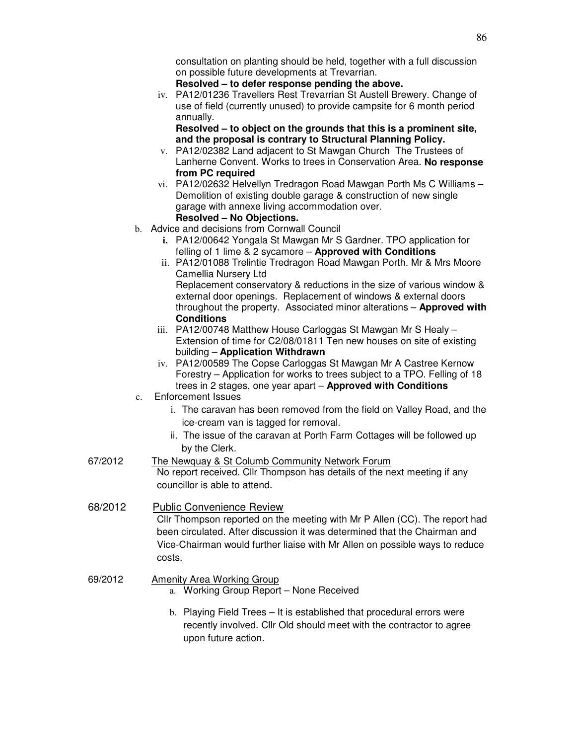consultation on planting should be held, together with a full discussion on possible future developments at Trevarrian.

### **Resolved – to defer response pending the above.**

iv. PA12/01236 Travellers Rest Trevarrian St Austell Brewery. Change of use of field (currently unused) to provide campsite for 6 month period annually.

**Resolved – to object on the grounds that this is a prominent site, and the proposal is contrary to Structural Planning Policy.** 

- v. PA12/02382 Land adjacent to St Mawgan Church The Trustees of Lanherne Convent. Works to trees in Conservation Area. **No response from PC required**
- vi. PA12/02632 Helvellyn Tredragon Road Mawgan Porth Ms C Williams Demolition of existing double garage & construction of new single garage with annexe living accommodation over. **Resolved – No Objections.**
- b. Advice and decisions from Cornwall Council
	- **i.** PA12/00642 Yongala St Mawgan Mr S Gardner. TPO application for felling of 1 lime & 2 sycamore – **Approved with Conditions**
	- ii. PA12/01088 Trelintie Tredragon Road Mawgan Porth. Mr & Mrs Moore Camellia Nursery Ltd Replacement conservatory & reductions in the size of various window & external door openings. Replacement of windows & external doors throughout the property. Associated minor alterations – **Approved with Conditions**
	- iii. PA12/00748 Matthew House Carloggas St Mawgan Mr S Healy -Extension of time for C2/08/01811 Ten new houses on site of existing building – **Application Withdrawn**
	- iv. PA12/00589 The Copse Carloggas St Mawgan Mr A Castree Kernow Forestry – Application for works to trees subject to a TPO. Felling of 18 trees in 2 stages, one year apart – **Approved with Conditions**
- c. Enforcement Issues
	- i. The caravan has been removed from the field on Valley Road, and the ice-cream van is tagged for removal.
	- ii. The issue of the caravan at Porth Farm Cottages will be followed up by the Clerk.

## 67/2012 The Newquay & St Columb Community Network Forum No report received. Cllr Thompson has details of the next meeting if any councillor is able to attend.

68/2012 Public Convenience Review Cllr Thompson reported on the meeting with Mr P Allen (CC). The report had been circulated. After discussion it was determined that the Chairman and Vice-Chairman would further liaise with Mr Allen on possible ways to reduce costs.

## 69/2012 Amenity Area Working Group

- a. Working Group Report None Received
- b. Playing Field Trees It is established that procedural errors were recently involved. Cllr Old should meet with the contractor to agree upon future action.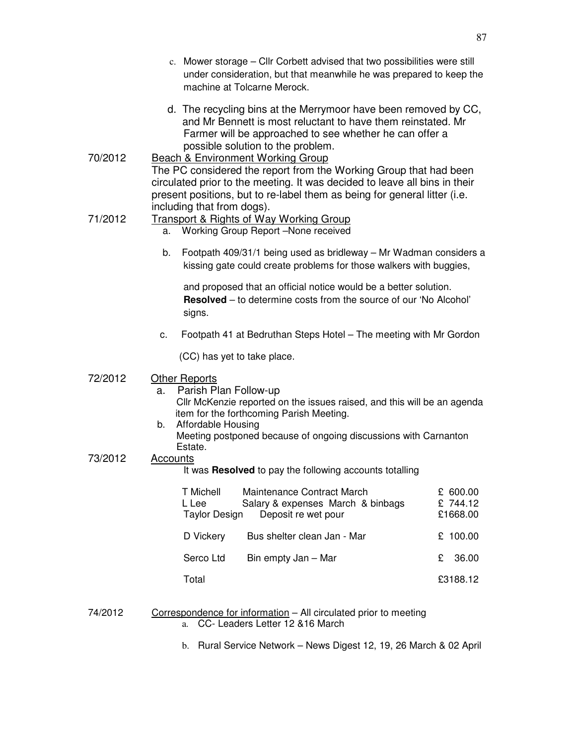- c. Mower storage Cllr Corbett advised that two possibilities were still under consideration, but that meanwhile he was prepared to keep the machine at Tolcarne Merock.
- d. The recycling bins at the Merrymoor have been removed by CC, and Mr Bennett is most reluctant to have them reinstated. Mr Farmer will be approached to see whether he can offer a possible solution to the problem.
- 70/2012 Beach & Environment Working Group The PC considered the report from the Working Group that had been circulated prior to the meeting. It was decided to leave all bins in their present positions, but to re-label them as being for general litter (i.e. including that from dogs).

# 71/2012 Transport & Rights of Way Working Group

- a. Working Group Report –None received
- b. Footpath 409/31/1 being used as bridleway Mr Wadman considers a kissing gate could create problems for those walkers with buggies,

and proposed that an official notice would be a better solution. **Resolved** – to determine costs from the source of our 'No Alcohol' signs.

c. Footpath 41 at Bedruthan Steps Hotel – The meeting with Mr Gordon

(CC) has yet to take place.

## 72/2012 Other Reports

- a. Parish Plan Follow-up Cllr McKenzie reported on the issues raised, and this will be an agenda item for the forthcoming Parish Meeting.
- b. Affordable Housing
	- Meeting postponed because of ongoing discussions with Carnanton Estate.

## 73/2012 Accounts

It was **Resolved** to pay the following accounts totalling

| T Michell<br>L Lee<br>Taylor Design | Maintenance Contract March<br>Salary & expenses March & binbags<br>Deposit re wet pour | £ 600.00<br>£744.12<br>£1668.00 |
|-------------------------------------|----------------------------------------------------------------------------------------|---------------------------------|
| D Vickery                           | Bus shelter clean Jan - Mar                                                            | £ 100.00                        |
| Serco Ltd                           | Bin empty Jan - Mar                                                                    | £ 36.00                         |
| Total                               |                                                                                        | £3188.12                        |

### 74/2012 Correspondence for information – All circulated prior to meeting a. CC- Leaders Letter 12 &16 March

b. Rural Service Network – News Digest 12, 19, 26 March & 02 April